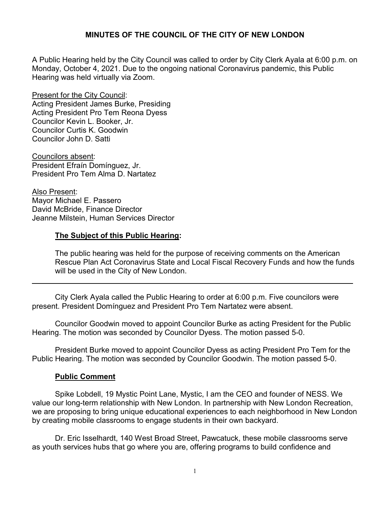A Public Hearing held by the City Council was called to order by City Clerk Ayala at 6:00 p.m. on Monday, October 4, 2021. Due to the ongoing national Coronavirus pandemic, this Public Hearing was held virtually via Zoom.

Present for the City Council: Acting President James Burke, Presiding Acting President Pro Tem Reona Dyess Councilor Kevin L. Booker, Jr. Councilor Curtis K. Goodwin Councilor John D. Satti

Councilors absent: President Efraín Domínguez, Jr. President Pro Tem Alma D. Nartatez

Also Present: Mayor Michael E. Passero David McBride, Finance Director Jeanne Milstein, Human Services Director

#### **The Subject of this Public Hearing:**

The public hearing was held for the purpose of receiving comments on the American Rescue Plan Act Coronavirus State and Local Fiscal Recovery Funds and how the funds will be used in the City of New London.

City Clerk Ayala called the Public Hearing to order at 6:00 p.m. Five councilors were present. President Domínguez and President Pro Tem Nartatez were absent.

Councilor Goodwin moved to appoint Councilor Burke as acting President for the Public Hearing. The motion was seconded by Councilor Dyess. The motion passed 5-0.

President Burke moved to appoint Councilor Dyess as acting President Pro Tem for the Public Hearing. The motion was seconded by Councilor Goodwin. The motion passed 5-0.

## **Public Comment**

Spike Lobdell, 19 Mystic Point Lane, Mystic, I am the CEO and founder of NESS. We value our long-term relationship with New London. In partnership with New London Recreation, we are proposing to bring unique educational experiences to each neighborhood in New London by creating mobile classrooms to engage students in their own backyard.

Dr. Eric Isselhardt, 140 West Broad Street, Pawcatuck, these mobile classrooms serve as youth services hubs that go where you are, offering programs to build confidence and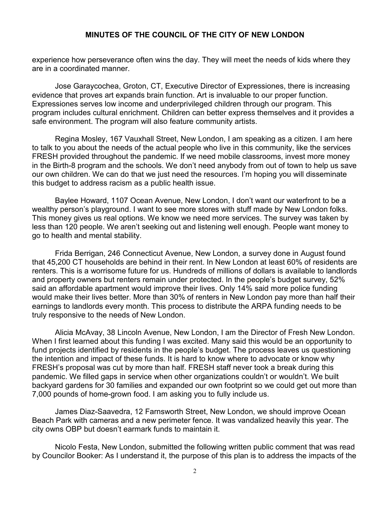experience how perseverance often wins the day. They will meet the needs of kids where they are in a coordinated manner.

Jose Garaycochea, Groton, CT, Executive Director of Expressiones, there is increasing evidence that proves art expands brain function. Art is invaluable to our proper function. Expressiones serves low income and underprivileged children through our program. This program includes cultural enrichment. Children can better express themselves and it provides a safe environment. The program will also feature community artists.

Regina Mosley, 167 Vauxhall Street, New London, I am speaking as a citizen. I am here to talk to you about the needs of the actual people who live in this community, like the services FRESH provided throughout the pandemic. If we need mobile classrooms, invest more money in the Birth-8 program and the schools. We don't need anybody from out of town to help us save our own children. We can do that we just need the resources. I'm hoping you will disseminate this budget to address racism as a public health issue.

Baylee Howard, 1107 Ocean Avenue, New London, I don't want our waterfront to be a wealthy person's playground. I want to see more stores with stuff made by New London folks. This money gives us real options. We know we need more services. The survey was taken by less than 120 people. We aren't seeking out and listening well enough. People want money to go to health and mental stability.

Frida Berrigan, 246 Connecticut Avenue, New London, a survey done in August found that 45,200 CT households are behind in their rent. In New London at least 60% of residents are renters. This is a worrisome future for us. Hundreds of millions of dollars is available to landlords and property owners but renters remain under protected. In the people's budget survey, 52% said an affordable apartment would improve their lives. Only 14% said more police funding would make their lives better. More than 30% of renters in New London pay more than half their earnings to landlords every month. This process to distribute the ARPA funding needs to be truly responsive to the needs of New London.

Alicia McAvay, 38 Lincoln Avenue, New London, I am the Director of Fresh New London. When I first learned about this funding I was excited. Many said this would be an opportunity to fund projects identified by residents in the people's budget. The process leaves us questioning the intention and impact of these funds. It is hard to know where to advocate or know why FRESH's proposal was cut by more than half. FRESH staff never took a break during this pandemic. We filled gaps in service when other organizations couldn't or wouldn't. We built backyard gardens for 30 families and expanded our own footprint so we could get out more than 7,000 pounds of home-grown food. I am asking you to fully include us.

James Diaz-Saavedra, 12 Farnsworth Street, New London, we should improve Ocean Beach Park with cameras and a new perimeter fence. It was vandalized heavily this year. The city owns OBP but doesn't earmark funds to maintain it.

Nicolo Festa, New London, submitted the following written public comment that was read by Councilor Booker: As I understand it, the purpose of this plan is to address the impacts of the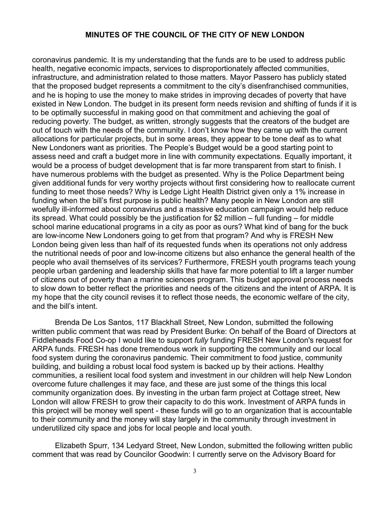coronavirus pandemic. It is my understanding that the funds are to be used to address public health, negative economic impacts, services to disproportionately affected communities, infrastructure, and administration related to those matters. Mayor Passero has publicly stated that the proposed budget represents a commitment to the city's disenfranchised communities, and he is hoping to use the money to make strides in improving decades of poverty that have existed in New London. The budget in its present form needs revision and shifting of funds if it is to be optimally successful in making good on that commitment and achieving the goal of reducing poverty. The budget, as written, strongly suggests that the creators of the budget are out of touch with the needs of the community. I don't know how they came up with the current allocations for particular projects, but in some areas, they appear to be tone deaf as to what New Londoners want as priorities. The People's Budget would be a good starting point to assess need and craft a budget more in line with community expectations. Equally important, it would be a process of budget development that is far more transparent from start to finish. I have numerous problems with the budget as presented. Why is the Police Department being given additional funds for very worthy projects without first considering how to reallocate current funding to meet those needs? Why is Ledge Light Health District given only a 1% increase in funding when the bill's first purpose is public health? Many people in New London are still woefully ill-informed about coronavirus and a massive education campaign would help reduce its spread. What could possibly be the justification for \$2 million – full funding – for middle school marine educational programs in a city as poor as ours? What kind of bang for the buck are low-income New Londoners going to get from that program? And why is FRESH New London being given less than half of its requested funds when its operations not only address the nutritional needs of poor and low-income citizens but also enhance the general health of the people who avail themselves of its services? Furthermore, FRESH youth programs teach young people urban gardening and leadership skills that have far more potential to lift a larger number of citizens out of poverty than a marine sciences program. This budget approval process needs to slow down to better reflect the priorities and needs of the citizens and the intent of ARPA. It is my hope that the city council revises it to reflect those needs, the economic welfare of the city, and the bill's intent.

Brenda De Los Santos, 117 Blackhall Street, New London, submitted the following written public comment that was read by President Burke: On behalf of the Board of Directors at Fiddleheads Food Co-op I would like to support *fully* funding FRESH New London's request for ARPA funds. FRESH has done tremendous work in supporting the community and our local food system during the coronavirus pandemic. Their commitment to food justice, community building, and building a robust local food system is backed up by their actions. Healthy communities, a resilient local food system and investment in our children will help New London overcome future challenges it may face, and these are just some of the things this local community organization does. By investing in the urban farm project at Cottage street, New London will allow FRESH to grow their capacity to do this work. Investment of ARPA funds in this project will be money well spent - these funds will go to an organization that is accountable to their community and the money will stay largely in the community through investment in underutilized city space and jobs for local people and local youth.

Elizabeth Spurr, 134 Ledyard Street, New London, submitted the following written public comment that was read by Councilor Goodwin: I currently serve on the Advisory Board for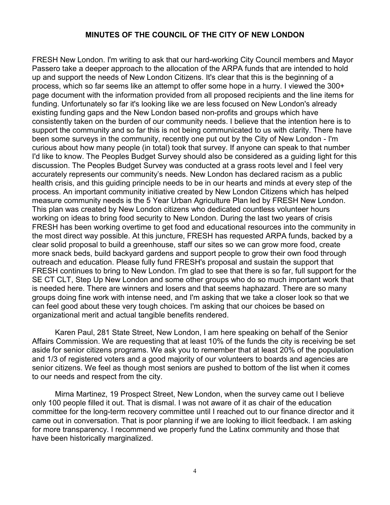FRESH New London. I'm writing to ask that our hard-working City Council members and Mayor Passero take a deeper approach to the allocation of the ARPA funds that are intended to hold up and support the needs of New London Citizens. It's clear that this is the beginning of a process, which so far seems like an attempt to offer some hope in a hurry. I viewed the 300+ page document with the information provided from all proposed recipients and the line items for funding. Unfortunately so far it's looking like we are less focused on New London's already existing funding gaps and the New London based non-profits and groups which have consistently taken on the burden of our community needs. I believe that the intention here is to support the community and so far this is not being communicated to us with clarity. There have been some surveys in the community, recently one put out by the City of New London - I'm curious about how many people (in total) took that survey. If anyone can speak to that number I'd like to know. The Peoples Budget Survey should also be considered as a guiding light for this discussion. The Peoples Budget Survey was conducted at a grass roots level and I feel very accurately represents our community's needs. New London has declared racism as a public health crisis, and this guiding principle needs to be in our hearts and minds at every step of the process. An important community initiative created by New London Citizens which has helped measure community needs is the 5 Year Urban Agriculture Plan led by FRESH New London. This plan was created by New London citizens who dedicated countless volunteer hours working on ideas to bring food security to New London. During the last two years of crisis FRESH has been working overtime to get food and educational resources into the community in the most direct way possible. At this juncture, FRESH has requested ARPA funds, backed by a clear solid proposal to build a greenhouse, staff our sites so we can grow more food, create more snack beds, build backyard gardens and support people to grow their own food through outreach and education. Please fully fund FRESH's proposal and sustain the support that FRESH continues to bring to New London. I'm glad to see that there is so far, full support for the SE CT CLT, Step Up New London and some other groups who do so much important work that is needed here. There are winners and losers and that seems haphazard. There are so many groups doing fine work with intense need, and I'm asking that we take a closer look so that we can feel good about these very tough choices. I'm asking that our choices be based on organizational merit and actual tangible benefits rendered.

Karen Paul, 281 State Street, New London, I am here speaking on behalf of the Senior Affairs Commission. We are requesting that at least 10% of the funds the city is receiving be set aside for senior citizens programs. We ask you to remember that at least 20% of the population and 1/3 of registered voters and a good majority of our volunteers to boards and agencies are senior citizens. We feel as though most seniors are pushed to bottom of the list when it comes to our needs and respect from the city.

Mirna Martinez, 19 Prospect Street, New London, when the survey came out I believe only 100 people filled it out. That is dismal. I was not aware of it as chair of the education committee for the long-term recovery committee until I reached out to our finance director and it came out in conversation. That is poor planning if we are looking to illicit feedback. I am asking for more transparency. I recommend we properly fund the Latinx community and those that have been historically marginalized.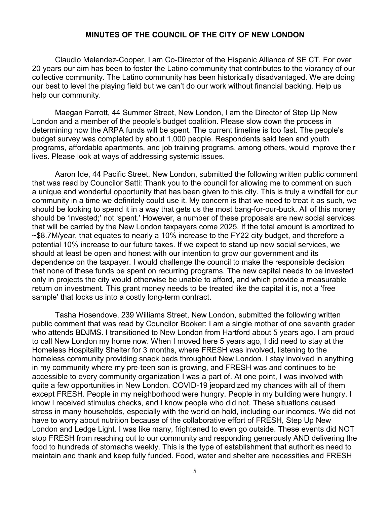Claudio Melendez-Cooper, I am Co-Director of the Hispanic Alliance of SE CT. For over 20 years our aim has been to foster the Latino community that contributes to the vibrancy of our collective community. The Latino community has been historically disadvantaged. We are doing our best to level the playing field but we can't do our work without financial backing. Help us help our community.

Maegan Parrott, 44 Summer Street, New London, I am the Director of Step Up New London and a member of the people's budget coalition. Please slow down the process in determining how the ARPA funds will be spent. The current timeline is too fast. The people's budget survey was completed by about 1,000 people. Respondents said teen and youth programs, affordable apartments, and job training programs, among others, would improve their lives. Please look at ways of addressing systemic issues.

Aaron Ide, 44 Pacific Street, New London, submitted the following written public comment that was read by Councilor Satti: Thank you to the council for allowing me to comment on such a unique and wonderful opportunity that has been given to this city. This is truly a windfall for our community in a time we definitely could use it. My concern is that we need to treat it as such, we should be looking to spend it in a way that gets us the most bang-for-our-buck. All of this money should be 'invested;' not 'spent.' However, a number of these proposals are new social services that will be carried by the New London taxpayers come 2025. If the total amount is amortized to ~\$8.7M/year, that equates to nearly a 10% increase to the FY22 city budget, and therefore a potential 10% increase to our future taxes. If we expect to stand up new social services, we should at least be open and honest with our intention to grow our government and its dependence on the taxpayer. I would challenge the council to make the responsible decision that none of these funds be spent on recurring programs. The new capital needs to be invested only in projects the city would otherwise be unable to afford, and which provide a measurable return on investment. This grant money needs to be treated like the capital it is, not a 'free sample' that locks us into a costly long-term contract.

Tasha Hosendove, 239 Williams Street, New London, submitted the following written public comment that was read by Councilor Booker: I am a single mother of one seventh grader who attends BDJMS. I transitioned to New London from Hartford about 5 years ago. I am proud to call New London my home now. When I moved here 5 years ago, I did need to stay at the Homeless Hospitality Shelter for 3 months, where FRESH was involved, listening to the homeless community providing snack beds throughout New London. I stay involved in anything in my community where my pre-teen son is growing, and FRESH was and continues to be accessible to every community organization I was a part of. At one point, I was involved with quite a few opportunities in New London. COVID-19 jeopardized my chances with all of them except FRESH. People in my neighborhood were hungry. People in my building were hungry. I know I received stimulus checks, and I know people who did not. These situations caused stress in many households, especially with the world on hold, including our incomes. We did not have to worry about nutrition because of the collaborative effort of FRESH, Step Up New London and Ledge Light. I was like many, frightened to even go outside. These events did NOT stop FRESH from reaching out to our community and responding generously AND delivering the food to hundreds of stomachs weekly. This is the type of establishment that authorities need to maintain and thank and keep fully funded. Food, water and shelter are necessities and FRESH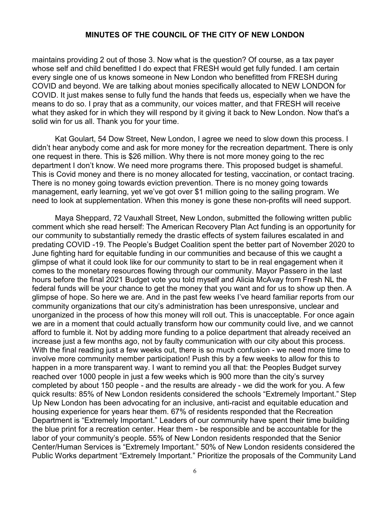maintains providing 2 out of those 3. Now what is the question? Of course, as a tax payer whose self and child benefitted I do expect that FRESH would get fully funded. I am certain every single one of us knows someone in New London who benefitted from FRESH during COVID and beyond. We are talking about monies specifically allocated to NEW LONDON for COVID. It just makes sense to fully fund the hands that feeds us, especially when we have the means to do so. I pray that as a community, our voices matter, and that FRESH will receive what they asked for in which they will respond by it giving it back to New London. Now that's a solid win for us all. Thank you for your time.

Kat Goulart, 54 Dow Street, New London, I agree we need to slow down this process. I didn't hear anybody come and ask for more money for the recreation department. There is only one request in there. This is \$26 million. Why there is not more money going to the rec department I don't know. We need more programs there. This proposed budget is shameful. This is Covid money and there is no money allocated for testing, vaccination, or contact tracing. There is no money going towards eviction prevention. There is no money going towards management, early learning, yet we've got over \$1 million going to the sailing program. We need to look at supplementation. When this money is gone these non-profits will need support.

Maya Sheppard, 72 Vauxhall Street, New London, submitted the following written public comment which she read herself: The American Recovery Plan Act funding is an opportunity for our community to substantially remedy the drastic effects of system failures escalated in and predating COVID -19. The People's Budget Coalition spent the better part of November 2020 to June fighting hard for equitable funding in our communities and because of this we caught a glimpse of what it could look like for our community to start to be in real engagement when it comes to the monetary resources flowing through our community. Mayor Passero in the last hours before the final 2021 Budget vote you told myself and Alicia McAvay from Fresh NL the federal funds will be your chance to get the money that you want and for us to show up then. A glimpse of hope. So here we are. And in the past few weeks I've heard familiar reports from our community organizations that our city's administration has been unresponsive, unclear and unorganized in the process of how this money will roll out. This is unacceptable. For once again we are in a moment that could actually transform how our community could live, and we cannot afford to fumble it. Not by adding more funding to a police department that already received an increase just a few months ago, not by faulty communication with our city about this process. With the final reading just a few weeks out, there is so much confusion - we need more time to involve more community member participation! Push this by a few weeks to allow for this to happen in a more transparent way. I want to remind you all that: the Peoples Budget survey reached over 1000 people in just a few weeks which is 900 more than the city's survey completed by about 150 people - and the results are already - we did the work for you. A few quick results: 85% of New London residents considered the schools "Extremely Important." Step Up New London has been advocating for an inclusive, anti-racist and equitable education and housing experience for years hear them. 67% of residents responded that the Recreation Department is "Extremely Important." Leaders of our community have spent their time building the blue print for a recreation center. Hear them - be responsible and be accountable for the labor of your community's people. 55% of New London residents responded that the Senior Center/Human Services is "Extremely Important." 50% of New London residents considered the Public Works department "Extremely Important." Prioritize the proposals of the Community Land